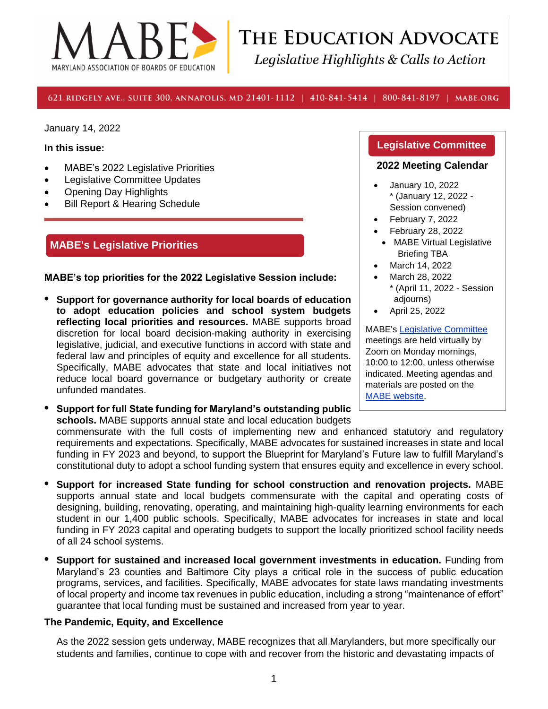

# THE EDUCATION ADVOCATE Legislative Highlights & Calls to Action

#### 621 RIDGELY AVE., SUITE 300, ANNAPOLIS, MD 21401-1112 | 410-841-5414 | 800-841-8197 | MABE.ORG

January 14, 2022

#### **In this issue:**

- MABE's 2022 Legislative Priorities
- Legislative Committee Updates
- Opening Day Highlights
- **Bill Report & Hearing Schedule**

### **MABE's Legislative Priorities**

**MABE's top priorities for the 2022 Legislative Session include:**

- **• Support for governance authority for local boards of education to adopt education policies and school system budgets reflecting local priorities and resources.** MABE supports broad discretion for local board decision-making authority in exercising legislative, judicial, and executive functions in accord with state and federal law and principles of equity and excellence for all students. Specifically, MABE advocates that state and local initiatives not reduce local board governance or budgetary authority or create unfunded mandates.
- **• Support for full State funding for Maryland's outstanding public schools.** MABE supports annual state and local education budgets

#### **Legislative Committee**

#### **2022 Meeting Calendar**

- January 10, 2022 \* (January 12, 2022 - Session convened)
- February 7, 2022
- February 28, 2022
- MABE Virtual Legislative Briefing TBA
- March 14, 2022
- March 28, 2022
- \* (April 11, 2022 Session adjourns)
- April 25, 2022

MABE's [Legislative Committee](https://www.mabe.org/advocacy/legislative-committee-2/) meetings are held virtually by Zoom on Monday mornings, 10:00 to 12:00, unless otherwise indicated. Meeting agendas and materials are posted on the [MABE website.](https://www.mabe.org/advocacy/legislative-committee-2/)

commensurate with the full costs of implementing new and enhanced statutory and regulatory requirements and expectations. Specifically, MABE advocates for sustained increases in state and local funding in FY 2023 and beyond, to support the Blueprint for Maryland's Future law to fulfill Maryland's constitutional duty to adopt a school funding system that ensures equity and excellence in every school.

- **• Support for increased State funding for school construction and renovation projects.** MABE supports annual state and local budgets commensurate with the capital and operating costs of designing, building, renovating, operating, and maintaining high-quality learning environments for each student in our 1,400 public schools. Specifically, MABE advocates for increases in state and local funding in FY 2023 capital and operating budgets to support the locally prioritized school facility needs of all 24 school systems.
- **• Support for sustained and increased local government investments in education.** Funding from Maryland's 23 counties and Baltimore City plays a critical role in the success of public education programs, services, and facilities. Specifically, MABE advocates for state laws mandating investments of local property and income tax revenues in public education, including a strong "maintenance of effort" guarantee that local funding must be sustained and increased from year to year.

#### **The Pandemic, Equity, and Excellence**

As the 2022 session gets underway, MABE recognizes that all Marylanders, but more specifically our students and families, continue to cope with and recover from the historic and devastating impacts of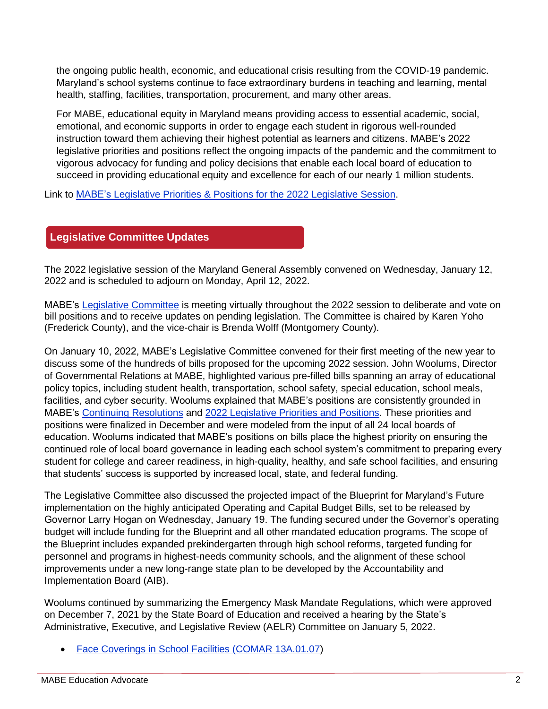the ongoing public health, economic, and educational crisis resulting from the COVID-19 pandemic. Maryland's school systems continue to face extraordinary burdens in teaching and learning, mental health, staffing, facilities, transportation, procurement, and many other areas.

For MABE, educational equity in Maryland means providing access to essential academic, social, emotional, and economic supports in order to engage each student in rigorous well-rounded instruction toward them achieving their highest potential as learners and citizens. MABE's 2022 legislative priorities and positions reflect the ongoing impacts of the pandemic and the commitment to vigorous advocacy for funding and policy decisions that enable each local board of education to succeed in providing educational equity and excellence for each of our nearly 1 million students.

Link to MABE's [Legislative Priorities & Positions for the 2022 Legislative Session.](https://www.mabe.org/wp-content/uploads/2021/12/2022-Legislative-Positions-FINAL.pdf)

## **Legislative Committee Updates**

The 2022 legislative session of the Maryland General Assembly convened on Wednesday, January 12, 2022 and is scheduled to adjourn on Monday, April 12, 2022.

MABE's [Legislative Committee](https://www.mabe.org/advocacy/legislative-committee-2/) is meeting virtually throughout the 2022 session to deliberate and vote on bill positions and to receive updates on pending legislation. The Committee is chaired by Karen Yoho (Frederick County), and the vice-chair is Brenda Wolff (Montgomery County).

On January 10, 2022, MABE's Legislative Committee convened for their first meeting of the new year to discuss some of the hundreds of bills proposed for the upcoming 2022 session. John Woolums, Director of Governmental Relations at MABE, highlighted various pre-filled bills spanning an array of educational policy topics, including student health, transportation, school safety, special education, school meals, facilities, and cyber security. Woolums explained that MABE's positions are consistently grounded in MABE's [Continuing Resolutions](https://www.mabe.org/advocacy/continuing-resolutions/) and [2022 Legislative Priorities and Positions.](https://www.mabe.org/wp-content/uploads/2021/12/2022-Legislative-Positions-FINAL.pdf) These priorities and positions were finalized in December and were modeled from the input of all 24 local boards of education. Woolums indicated that MABE's positions on bills place the highest priority on ensuring the continued role of local board governance in leading each school system's commitment to preparing every student for college and career readiness, in high-quality, healthy, and safe school facilities, and ensuring that students' success is supported by increased local, state, and federal funding.

The Legislative Committee also discussed the projected impact of the Blueprint for Maryland's Future implementation on the highly anticipated Operating and Capital Budget Bills, set to be released by Governor Larry Hogan on Wednesday, January 19. The funding secured under the Governor's operating budget will include funding for the Blueprint and all other mandated education programs. The scope of the Blueprint includes expanded prekindergarten through high school reforms, targeted funding for personnel and programs in highest-needs community schools, and the alignment of these school improvements under a new long-range state plan to be developed by the Accountability and Implementation Board (AIB).

Woolums continued by summarizing the Emergency Mask Mandate Regulations, which were approved on December 7, 2021 by the State Board of Education and received a hearing by the State's Administrative, Executive, and Legislative Review (AELR) Committee on January 5, 2022.

• [Face Coverings in School Facilities \(COMAR 13A.01.07\)](https://www.marylandpublicschools.org/stateboard/Documents/2021/1207/COMAR13A.01.07FaceCoveringsinSchoolFacilities12.7.21.pdf)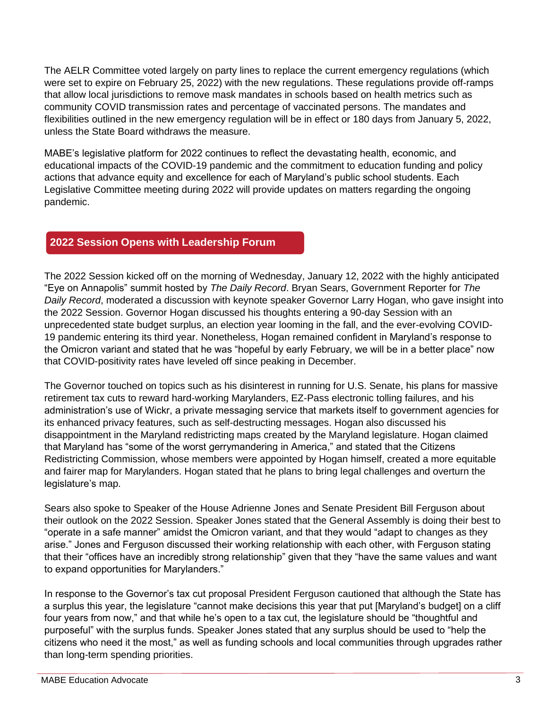The AELR Committee voted largely on party lines to replace the current emergency regulations (which were set to expire on February 25, 2022) with the new regulations. These regulations provide off-ramps that allow local jurisdictions to remove mask mandates in schools based on health metrics such as community COVID transmission rates and percentage of vaccinated persons. The mandates and flexibilities outlined in the new emergency regulation will be in effect or 180 days from January 5, 2022, unless the State Board withdraws the measure.

MABE's legislative platform for 2022 continues to reflect the devastating health, economic, and educational impacts of the COVID-19 pandemic and the commitment to education funding and policy actions that advance equity and excellence for each of Maryland's public school students. Each Legislative Committee meeting during 2022 will provide updates on matters regarding the ongoing pandemic.

# **2022 Session Opens with Leadership Forum**

The 2022 Session kicked off on the morning of Wednesday, January 12, 2022 with the highly anticipated "Eye on Annapolis" summit hosted by *The Daily Record*. Bryan Sears, Government Reporter for *The Daily Record*, moderated a discussion with keynote speaker Governor Larry Hogan, who gave insight into the 2022 Session. Governor Hogan discussed his thoughts entering a 90-day Session with an unprecedented state budget surplus, an election year looming in the fall, and the ever-evolving COVID-19 pandemic entering its third year. Nonetheless, Hogan remained confident in Maryland's response to the Omicron variant and stated that he was "hopeful by early February, we will be in a better place" now that COVID-positivity rates have leveled off since peaking in December.

The Governor touched on topics such as his disinterest in running for U.S. Senate, his plans for massive retirement tax cuts to reward hard-working Marylanders, EZ-Pass electronic tolling failures, and his administration's use of Wickr, a private messaging service that markets itself to government agencies for its enhanced privacy features, such as self-destructing messages. Hogan also discussed his disappointment in the Maryland redistricting maps created by the Maryland legislature. Hogan claimed that Maryland has "some of the worst gerrymandering in America," and stated that the Citizens Redistricting Commission, whose members were appointed by Hogan himself, created a more equitable and fairer map for Marylanders. Hogan stated that he plans to bring legal challenges and overturn the legislature's map.

Sears also spoke to Speaker of the House Adrienne Jones and Senate President Bill Ferguson about their outlook on the 2022 Session. Speaker Jones stated that the General Assembly is doing their best to "operate in a safe manner" amidst the Omicron variant, and that they would "adapt to changes as they arise." Jones and Ferguson discussed their working relationship with each other, with Ferguson stating that their "offices have an incredibly strong relationship" given that they "have the same values and want to expand opportunities for Marylanders."

In response to the Governor's tax cut proposal President Ferguson cautioned that although the State has a surplus this year, the legislature "cannot make decisions this year that put [Maryland's budget] on a cliff four years from now," and that while he's open to a tax cut, the legislature should be "thoughtful and purposeful" with the surplus funds. Speaker Jones stated that any surplus should be used to "help the citizens who need it the most," as well as funding schools and local communities through upgrades rather than long-term spending priorities.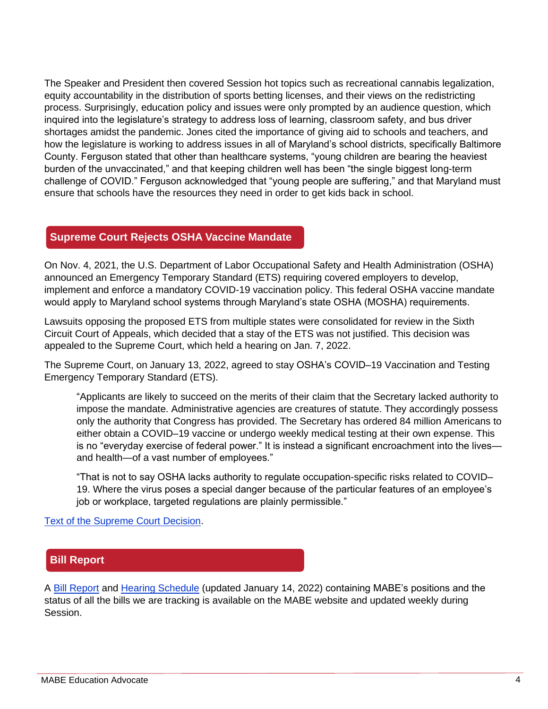The Speaker and President then covered Session hot topics such as recreational cannabis legalization, equity accountability in the distribution of sports betting licenses, and their views on the redistricting process. Surprisingly, education policy and issues were only prompted by an audience question, which inquired into the legislature's strategy to address loss of learning, classroom safety, and bus driver shortages amidst the pandemic. Jones cited the importance of giving aid to schools and teachers, and how the legislature is working to address issues in all of Maryland's school districts, specifically Baltimore County. Ferguson stated that other than healthcare systems, "young children are bearing the heaviest burden of the unvaccinated," and that keeping children well has been "the single biggest long-term challenge of COVID." Ferguson acknowledged that "young people are suffering," and that Maryland must ensure that schools have the resources they need in order to get kids back in school.

## **Supreme Court Rejects OSHA Vaccine Mandate**

On Nov. 4, 2021, the U.S. Department of Labor Occupational Safety and Health Administration (OSHA) announced an Emergency Temporary Standard (ETS) requiring covered employers to develop, implement and enforce a mandatory COVID-19 vaccination policy. This federal OSHA vaccine mandate would apply to Maryland school systems through Maryland's state OSHA (MOSHA) requirements.

Lawsuits opposing the proposed ETS from multiple states were consolidated for review in the Sixth Circuit Court of Appeals, which decided that a stay of the ETS was not justified. This decision was appealed to the Supreme Court, which held a hearing on Jan. 7, 2022.

The Supreme Court, on January 13, 2022, agreed to stay OSHA's COVID–19 Vaccination and Testing Emergency Temporary Standard (ETS).

"Applicants are likely to succeed on the merits of their claim that the Secretary lacked authority to impose the mandate. Administrative agencies are creatures of statute. They accordingly possess only the authority that Congress has provided. The Secretary has ordered 84 million Americans to either obtain a COVID–19 vaccine or undergo weekly medical testing at their own expense. This is no "everyday exercise of federal power." It is instead a significant encroachment into the lives and health—of a vast number of employees."

"That is not to say OSHA lacks authority to regulate occupation-specific risks related to COVID– 19. Where the virus poses a special danger because of the particular features of an employee's job or workplace, targeted regulations are plainly permissible."

[Text of the Supreme Court Decision.](https://www.supremecourt.gov/opinions/21pdf/21a244_hgci.pdf)

## **Bill Report**

A [Bill Report](https://www.mabe.org/wp-content/uploads/2022/01/January-14-2022-Bill-Report-Bills-w-MABE-Positions.pdf) and [Hearing Schedule](https://www.mabe.org/wp-content/uploads/2022/01/January-14-2022-Hearing-Schedule.pdf) (updated January 14, 2022) containing MABE's positions and the status of all the bills we are tracking is available on the MABE website and updated weekly during Session.